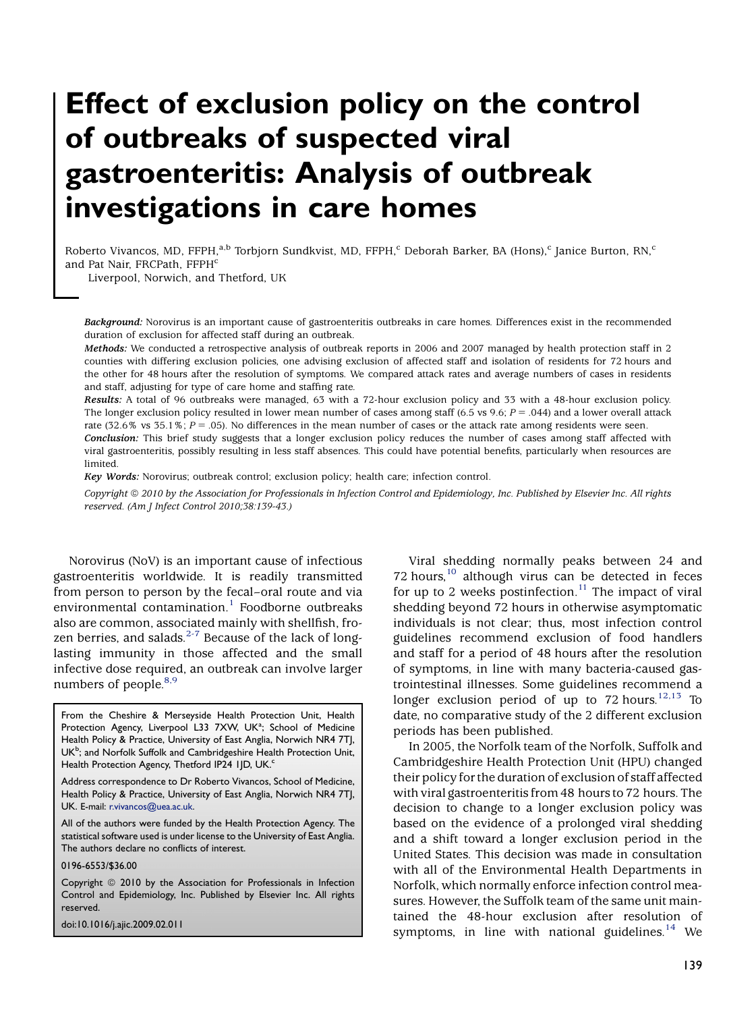# Effect of exclusion policy on the control of outbreaks of suspected viral gastroenteritis: Analysis of outbreak investigations in care homes

Roberto Vivancos, MD, FFPH,<sup>a,b</sup> Torbjorn Sundkvist, MD, FFPH,<sup>c</sup> Deborah Barker, BA (Hons),<sup>c</sup> Janice Burton, RN,<sup>c</sup> and Pat Nair, FRCPath, FFPH<sup>c</sup>

Liverpool, Norwich, and Thetford, UK

Background: Norovirus is an important cause of gastroenteritis outbreaks in care homes. Differences exist in the recommended duration of exclusion for affected staff during an outbreak.

Methods: We conducted a retrospective analysis of outbreak reports in 2006 and 2007 managed by health protection staff in 2 counties with differing exclusion policies, one advising exclusion of affected staff and isolation of residents for 72 hours and the other for 48 hours after the resolution of symptoms. We compared attack rates and average numbers of cases in residents and staff, adjusting for type of care home and staffing rate.

Results: A total of 96 outbreaks were managed, 63 with a 72-hour exclusion policy and 33 with a 48-hour exclusion policy. The longer exclusion policy resulted in lower mean number of cases among staff (6.5 vs 9.6;  $P = .044$ ) and a lower overall attack rate (32.6% vs 35.1%;  $P = .05$ ). No differences in the mean number of cases or the attack rate among residents were seen.

Conclusion: This brief study suggests that a longer exclusion policy reduces the number of cases among staff affected with viral gastroenteritis, possibly resulting in less staff absences. This could have potential benefits, particularly when resources are limited.

Key Words: Norovirus; outbreak control; exclusion policy; health care; infection control.

Copyright © 2010 by the Association for Professionals in Infection Control and Epidemiology, Inc. Published by Elsevier Inc. All rights reserved. (Am J Infect Control 2010;38:139-43.)

Norovirus (NoV) is an important cause of infectious gastroenteritis worldwide. It is readily transmitted from person to person by the fecal–oral route and via environmental contamination.<sup>[1](#page-3-0)</sup> Foodborne outbreaks also are common, associated mainly with shellfish, frozen berries, and salads. $2-7$  Because of the lack of longlasting immunity in those affected and the small infective dose required, an outbreak can involve larger numbers of people. $8,9$ 

From the Cheshire & Merseyside Health Protection Unit, Health Protection Agency, Liverpool L33 7XW, UK<sup>a</sup>; School of Medicine Health Policy & Practice, University of East Anglia, Norwich NR4 7TJ, UK<sup>b</sup>; and Norfolk Suffolk and Cambridgeshire Health Protection Unit, Health Protection Agency, Thetford IP24 IJD, UK.<sup>c</sup>

Address correspondence to Dr Roberto Vivancos, School of Medicine, Health Policy & Practice, University of East Anglia, Norwich NR4 7TJ, UK. E-mail: [r.vivancos@uea.ac.uk](mailto:r.vivancos@uea.ac.uk).

All of the authors were funded by the Health Protection Agency. The statistical software used is under license to the University of East Anglia. The authors declare no conflicts of interest.

0196-6553/\$36.00

Copyright © 2010 by the Association for Professionals in Infection Control and Epidemiology, Inc. Published by Elsevier Inc. All rights reserved.

doi:10.1016/j.ajic.2009.02.011

Viral shedding normally peaks between 24 and  $72$  hours,<sup>[10](#page-4-0)</sup> although virus can be detected in feces for up to 2 weeks postinfection.<sup>[11](#page-4-0)</sup> The impact of viral shedding beyond 72 hours in otherwise asymptomatic individuals is not clear; thus, most infection control guidelines recommend exclusion of food handlers and staff for a period of 48 hours after the resolution of symptoms, in line with many bacteria-caused gastrointestinal illnesses. Some guidelines recommend a longer exclusion period of up to 72 hours.<sup>[12,13](#page-4-0)</sup> To date, no comparative study of the 2 different exclusion periods has been published.

In 2005, the Norfolk team of the Norfolk, Suffolk and Cambridgeshire Health Protection Unit (HPU) changed their policy for the duration of exclusion of staff affected with viral gastroenteritis from 48 hours to 72 hours. The decision to change to a longer exclusion policy was based on the evidence of a prolonged viral shedding and a shift toward a longer exclusion period in the United States. This decision was made in consultation with all of the Environmental Health Departments in Norfolk, which normally enforce infection control measures. However, the Suffolk team of the same unit maintained the 48-hour exclusion after resolution of symptoms, in line with national guidelines.<sup>[14](#page-4-0)</sup> We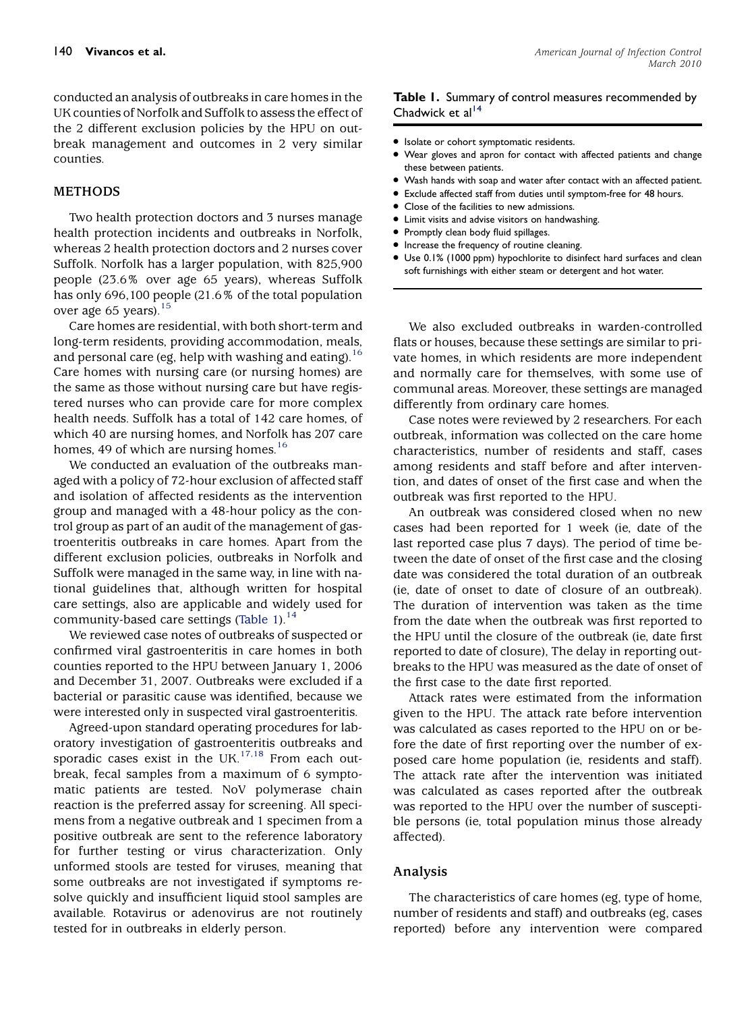conducted an analysis of outbreaks in care homes in the UK counties of Norfolk and Suffolk to assess the effect of the 2 different exclusion policies by the HPU on outbreak management and outcomes in 2 very similar counties.

## METHODS

Two health protection doctors and 3 nurses manage health protection incidents and outbreaks in Norfolk, whereas 2 health protection doctors and 2 nurses cover Suffolk. Norfolk has a larger population, with 825,900 people (23.6% over age 65 years), whereas Suffolk has only 696,100 people (21.6% of the total population over age 65 years). $15$ 

Care homes are residential, with both short-term and long-term residents, providing accommodation, meals, and personal care (eg, help with washing and eating).<sup>[16](#page-4-0)</sup> Care homes with nursing care (or nursing homes) are the same as those without nursing care but have registered nurses who can provide care for more complex health needs. Suffolk has a total of 142 care homes, of which 40 are nursing homes, and Norfolk has 207 care homes, 49 of which are nursing homes.<sup>[16](#page-4-0)</sup>

We conducted an evaluation of the outbreaks managed with a policy of 72-hour exclusion of affected staff and isolation of affected residents as the intervention group and managed with a 48-hour policy as the control group as part of an audit of the management of gastroenteritis outbreaks in care homes. Apart from the different exclusion policies, outbreaks in Norfolk and Suffolk were managed in the same way, in line with national guidelines that, although written for hospital care settings, also are applicable and widely used for community-based care settings (Table 1).<sup>[14](#page-4-0)</sup>

We reviewed case notes of outbreaks of suspected or confirmed viral gastroenteritis in care homes in both counties reported to the HPU between January 1, 2006 and December 31, 2007. Outbreaks were excluded if a bacterial or parasitic cause was identified, because we were interested only in suspected viral gastroenteritis.

Agreed-upon standard operating procedures for laboratory investigation of gastroenteritis outbreaks and sporadic cases exist in the UK. $17,18$  From each outbreak, fecal samples from a maximum of 6 symptomatic patients are tested. NoV polymerase chain reaction is the preferred assay for screening. All specimens from a negative outbreak and 1 specimen from a positive outbreak are sent to the reference laboratory for further testing or virus characterization. Only unformed stools are tested for viruses, meaning that some outbreaks are not investigated if symptoms resolve quickly and insufficient liquid stool samples are available. Rotavirus or adenovirus are not routinely tested for in outbreaks in elderly person.

## Table 1. Summary of control measures recommended by Chadwick et al $14$

- $\bullet$  Isolate or cohort symptomatic residents.
- Wear gloves and apron for contact with affected patients and change these between patients.
- Wash hands with soap and water after contact with an affected patient.
- <sup>d</sup> Exclude affected staff from duties until symptom-free for 48 hours.
- Close of the facilities to new admissions.
- Limit visits and advise visitors on handwashing.
- Promptly clean body fluid spillages.
- $\bullet$  Increase the frequency of routine cleaning.
- Use 0.1% (1000 ppm) hypochlorite to disinfect hard surfaces and clean soft furnishings with either steam or detergent and hot water.

We also excluded outbreaks in warden-controlled flats or houses, because these settings are similar to private homes, in which residents are more independent and normally care for themselves, with some use of communal areas. Moreover, these settings are managed differently from ordinary care homes.

Case notes were reviewed by 2 researchers. For each outbreak, information was collected on the care home characteristics, number of residents and staff, cases among residents and staff before and after intervention, and dates of onset of the first case and when the outbreak was first reported to the HPU.

An outbreak was considered closed when no new cases had been reported for 1 week (ie, date of the last reported case plus 7 days). The period of time between the date of onset of the first case and the closing date was considered the total duration of an outbreak (ie, date of onset to date of closure of an outbreak). The duration of intervention was taken as the time from the date when the outbreak was first reported to the HPU until the closure of the outbreak (ie, date first reported to date of closure), The delay in reporting outbreaks to the HPU was measured as the date of onset of the first case to the date first reported.

Attack rates were estimated from the information given to the HPU. The attack rate before intervention was calculated as cases reported to the HPU on or before the date of first reporting over the number of exposed care home population (ie, residents and staff). The attack rate after the intervention was initiated was calculated as cases reported after the outbreak was reported to the HPU over the number of susceptible persons (ie, total population minus those already affected).

### Analysis

The characteristics of care homes (eg, type of home, number of residents and staff) and outbreaks (eg, cases reported) before any intervention were compared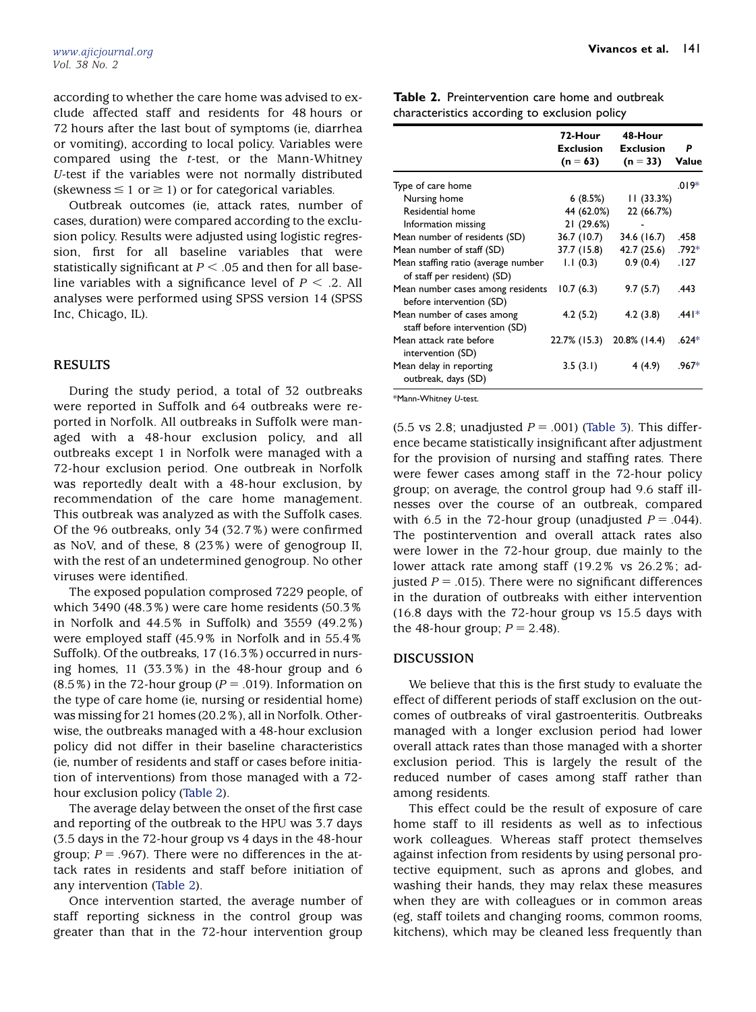according to whether the care home was advised to exclude affected staff and residents for 48 hours or 72 hours after the last bout of symptoms (ie, diarrhea or vomiting), according to local policy. Variables were compared using the t-test, or the Mann-Whitney U-test if the variables were not normally distributed (skewness  $\leq 1$  or  $\geq 1$ ) or for categorical variables.

Outbreak outcomes (ie, attack rates, number of cases, duration) were compared according to the exclusion policy. Results were adjusted using logistic regression, first for all baseline variables that were statistically significant at  $P < .05$  and then for all baseline variables with a significance level of  $P < .2$ . All analyses were performed using SPSS version 14 (SPSS Inc, Chicago, IL).

### RESULTS

During the study period, a total of 32 outbreaks were reported in Suffolk and 64 outbreaks were reported in Norfolk. All outbreaks in Suffolk were managed with a 48-hour exclusion policy, and all outbreaks except 1 in Norfolk were managed with a 72-hour exclusion period. One outbreak in Norfolk was reportedly dealt with a 48-hour exclusion, by recommendation of the care home management. This outbreak was analyzed as with the Suffolk cases. Of the 96 outbreaks, only 34 (32.7%) were confirmed as NoV, and of these, 8 (23%) were of genogroup II, with the rest of an undetermined genogroup. No other viruses were identified.

The exposed population comprosed 7229 people, of which 3490 (48.3%) were care home residents (50.3% in Norfolk and 44.5% in Suffolk) and 3559 (49.2%) were employed staff (45.9% in Norfolk and in 55.4% Suffolk). Of the outbreaks, 17 (16.3%) occurred in nursing homes, 11 (33.3%) in the 48-hour group and 6 (8.5%) in the 72-hour group ( $P = .019$ ). Information on the type of care home (ie, nursing or residential home) was missing for 21 homes (20.2%), all in Norfolk. Otherwise, the outbreaks managed with a 48-hour exclusion policy did not differ in their baseline characteristics (ie, number of residents and staff or cases before initiation of interventions) from those managed with a 72 hour exclusion policy (Table 2).

The average delay between the onset of the first case and reporting of the outbreak to the HPU was 3.7 days (3.5 days in the 72-hour group vs 4 days in the 48-hour group;  $P = .967$ ). There were no differences in the attack rates in residents and staff before initiation of any intervention (Table 2).

Once intervention started, the average number of staff reporting sickness in the control group was greater than that in the 72-hour intervention group Table 2. Preintervention care home and outbreak characteristics according to exclusion policy

|                                                                    | 72-Hour<br><b>Exclusion</b><br>$(n = 63)$ | 48-Hour<br><b>Exclusion</b><br>$(n = 33)$ | Р<br>Value |
|--------------------------------------------------------------------|-------------------------------------------|-------------------------------------------|------------|
| Type of care home                                                  |                                           |                                           | $.019*$    |
| Nursing home                                                       | 6(8.5%)                                   | 11(33.3%)                                 |            |
| Residential home                                                   | 44 (62.0%)                                | 22 (66.7%)                                |            |
| Information missing                                                | 21 (29.6%)                                |                                           |            |
| Mean number of residents (SD)                                      | 36.7 (10.7)                               | 34.6 (16.7)                               | .458       |
| Mean number of staff (SD)                                          | 37.7 (15.8)                               | 42.7 (25.6)                               | $.792*$    |
| Mean staffing ratio (average number<br>of staff per resident) (SD) | 1.1(0.3)                                  | 0.9(0.4)                                  | .127       |
| Mean number cases among residents<br>before intervention (SD)      | 10.7(6.3)                                 | 9.7(5.7)                                  | .443       |
| Mean number of cases among<br>staff before intervention (SD)       | 4.2(5.2)                                  | 4.2(3.8)                                  | $.441*$    |
| Mean attack rate before<br>intervention (SD)                       | 22.7% (15.3)                              | 20.8% (14.4)                              | $.674*$    |
| Mean delay in reporting<br>outbreak, days (SD)                     | 3.5(3.1)                                  | 4(4.9)                                    | .967*      |

\*Mann-Whitney U-test.

(5.5 vs 2.8; unadjusted  $P = .001$ ) ([Table 3](#page-3-0)). This difference became statistically insignificant after adjustment for the provision of nursing and staffing rates. There were fewer cases among staff in the 72-hour policy group; on average, the control group had 9.6 staff illnesses over the course of an outbreak, compared with 6.5 in the 72-hour group (unadjusted  $P = .044$ ). The postintervention and overall attack rates also were lower in the 72-hour group, due mainly to the lower attack rate among staff (19.2% vs 26.2%; adjusted  $P = .015$ ). There were no significant differences in the duration of outbreaks with either intervention (16.8 days with the 72-hour group vs 15.5 days with the 48-hour group;  $P = 2.48$ ).

#### DISCUSSION

We believe that this is the first study to evaluate the effect of different periods of staff exclusion on the outcomes of outbreaks of viral gastroenteritis. Outbreaks managed with a longer exclusion period had lower overall attack rates than those managed with a shorter exclusion period. This is largely the result of the reduced number of cases among staff rather than among residents.

This effect could be the result of exposure of care home staff to ill residents as well as to infectious work colleagues. Whereas staff protect themselves against infection from residents by using personal protective equipment, such as aprons and globes, and washing their hands, they may relax these measures when they are with colleagues or in common areas (eg, staff toilets and changing rooms, common rooms, kitchens), which may be cleaned less frequently than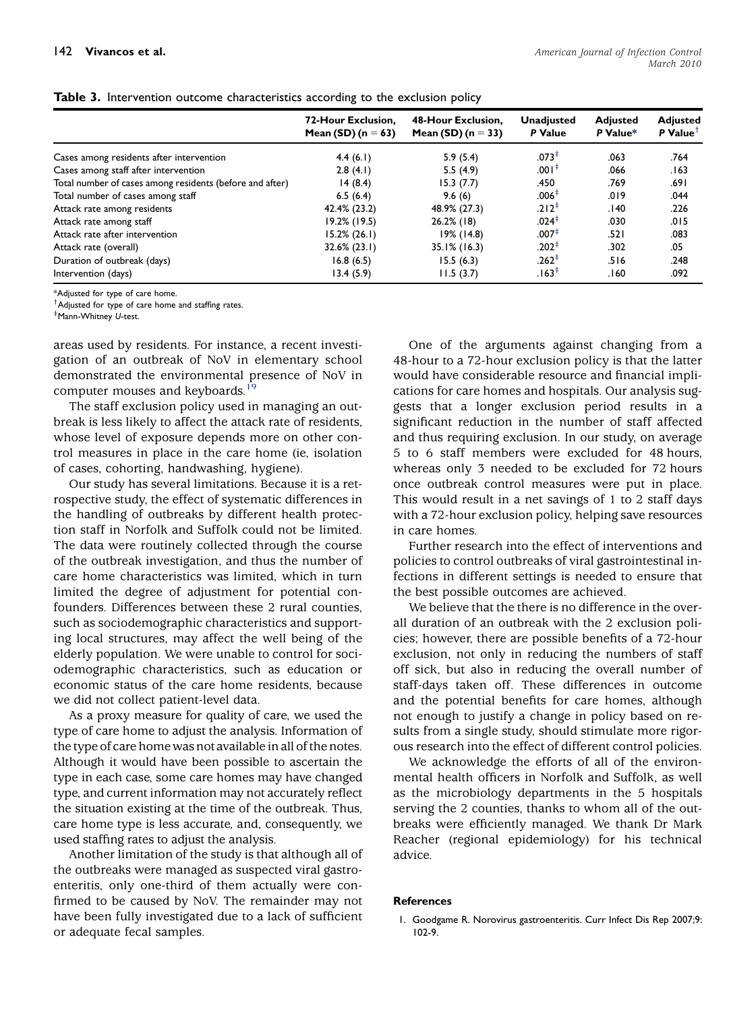<span id="page-3-0"></span>

|  |  |  |  | Table 3. Intervention outcome characteristics according to the exclusion policy |  |  |  |  |
|--|--|--|--|---------------------------------------------------------------------------------|--|--|--|--|
|--|--|--|--|---------------------------------------------------------------------------------|--|--|--|--|

|                                                          | <b>72-Hour Exclusion.</b><br>Mean (SD) ( $n = 63$ ) | 48-Hour Exclusion,<br>Mean (SD) ( $n = 33$ ) | <b>Unadjusted</b><br>P Value | <b>Adjusted</b><br>P Value* | <b>Adjusted</b><br>$P$ Value <sup>t</sup> |
|----------------------------------------------------------|-----------------------------------------------------|----------------------------------------------|------------------------------|-----------------------------|-------------------------------------------|
| Cases among residents after intervention                 | 4.4(6.1)                                            | 5.9(5.4)                                     | $.073*$                      | .063                        | .764                                      |
| Cases among staff after intervention                     | 2.8(4.1)                                            | 5.5(4.9)                                     | .001 <sup>‡</sup>            | .066                        | .163                                      |
| Total number of cases among residents (before and after) | 14(8.4)                                             | 15.3(7.7)                                    | .450                         | .769                        | .691                                      |
| Total number of cases among staff                        | 6.5(6.4)                                            | 9.6(6)                                       | $.006*$                      | .019                        | .044                                      |
| Attack rate among residents                              | 42.4% (23.2)                                        | 48.9% (27.3)                                 | $.212^{+}$                   | 140.                        | .226                                      |
| Attack rate among staff                                  | 19.2% (19.5)                                        | $26.2\%$ (18)                                | $.024$ <sup>+</sup>          | .030                        | .015                                      |
| Attack rate after intervention                           | $15.2\%$ (26.1)                                     | 19% (14.8)                                   | .007 <sup>‡</sup>            | ا52.                        | .083                                      |
| Attack rate (overall)                                    | $32.6\%$ (23.1)                                     | $35.1\%$ (16.3)                              | $.202 +$                     | .302                        | .05                                       |
| Duration of outbreak (days)                              | 16.8(6.5)                                           | 15.5(6.3)                                    | $.262^{+}$                   | .516                        | .248                                      |
| Intervention (days)                                      | 13.4(5.9)                                           | 11.5(3.7)                                    | $.163*$                      | .160                        | .092                                      |

\*Adjusted for type of care home.

<sup>†</sup>Adjusted for type of care home and staffing rates.

\*Mann-Whitney U-test.

areas used by residents. For instance, a recent investigation of an outbreak of NoV in elementary school demonstrated the environmental presence of NoV in computer mouses and keyboards.<sup>1</sup>

The staff exclusion policy used in managing an outbreak is less likely to affect the attack rate of residents, whose level of exposure depends more on other control measures in place in the care home (ie, isolation of cases, cohorting, handwashing, hygiene).

Our study has several limitations. Because it is a retrospective study, the effect of systematic differences in the handling of outbreaks by different health protection staff in Norfolk and Suffolk could not be limited. The data were routinely collected through the course of the outbreak investigation, and thus the number of care home characteristics was limited, which in turn limited the degree of adjustment for potential confounders. Differences between these 2 rural counties, such as sociodemographic characteristics and supporting local structures, may affect the well being of the elderly population. We were unable to control for sociodemographic characteristics, such as education or economic status of the care home residents, because we did not collect patient-level data.

As a proxy measure for quality of care, we used the type of care home to adjust the analysis. Information of the type of care homewas not available in all of the notes. Although it would have been possible to ascertain the type in each case, some care homes may have changed type, and current information may not accurately reflect the situation existing at the time of the outbreak. Thus, care home type is less accurate, and, consequently, we used staffing rates to adjust the analysis.

Another limitation of the study is that although all of the outbreaks were managed as suspected viral gastroenteritis, only one-third of them actually were confirmed to be caused by NoV. The remainder may not have been fully investigated due to a lack of sufficient or adequate fecal samples.

One of the arguments against changing from a 48-hour to a 72-hour exclusion policy is that the latter would have considerable resource and financial implications for care homes and hospitals. Our analysis suggests that a longer exclusion period results in a significant reduction in the number of staff affected and thus requiring exclusion. In our study, on average 5 to 6 staff members were excluded for 48 hours, whereas only 3 needed to be excluded for 72 hours once outbreak control measures were put in place. This would result in a net savings of 1 to 2 staff days with a 72-hour exclusion policy, helping save resources in care homes.

Further research into the effect of interventions and policies to control outbreaks of viral gastrointestinal infections in different settings is needed to ensure that the best possible outcomes are achieved.

We believe that the there is no difference in the overall duration of an outbreak with the 2 exclusion policies; however, there are possible benefits of a 72-hour exclusion, not only in reducing the numbers of staff off sick, but also in reducing the overall number of staff-days taken off. These differences in outcome and the potential benefits for care homes, although not enough to justify a change in policy based on results from a single study, should stimulate more rigorous research into the effect of different control policies.

We acknowledge the efforts of all of the environmental health officers in Norfolk and Suffolk, as well as the microbiology departments in the 5 hospitals serving the 2 counties, thanks to whom all of the outbreaks were efficiently managed. We thank Dr Mark Reacher (regional epidemiology) for his technical advice.

#### **References**

1. Goodgame R. Norovirus gastroenteritis. Curr Infect Dis Rep 2007;9: 102-9.